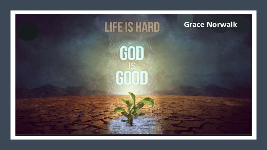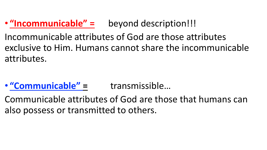#### • **"Incommunicable" =** beyond description!!!

Incommunicable attributes of God are those attributes exclusive to Him. Humans cannot share the incommunicable attributes.

#### • **"Communicable" =** transmissible…

Communicable attributes of God are those that humans can also possess or transmitted to others.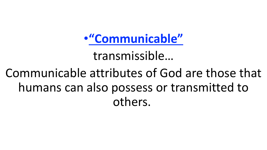•**"Communicable"** 

transmissible…

Communicable attributes of God are those that humans can also possess or transmitted to others.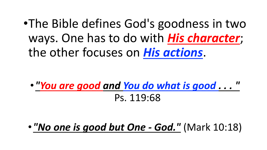•The Bible defines God's goodness in two ways. One has to do with *His character*; the other focuses on *His actions*.

•*"You are good and You do what is good . . . "* Ps. 119:68

•*"No one is good but One - God."* (Mark 10:18)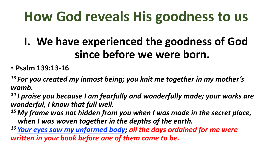### **I. We have experienced the goodness of God since before we were born.**

• **Psalm 139:13-16**

*<sup>13</sup> For you created my inmost being; you knit me together in my mother's womb.*

*<sup>14</sup> I praise you because I am fearfully and wonderfully made; your works are wonderful, I know that full well.*

*<sup>15</sup> My frame was not hidden from you when I was made in the secret place, when I was woven together in the depths of the earth.*

*<sup>16</sup> Your eyes saw my unformed body; all the days ordained for me were written in your book before one of them came to be.*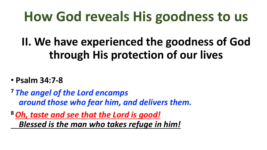- **II. We have experienced the goodness of God through His protection of our lives**
- **Psalm 34:7-8**
- **<sup>7</sup>** *The angel of the Lord encamps around those who fear him, and delivers them.*
- **<sup>8</sup>***Oh, taste and see that the Lord is good! Blessed is the man who takes refuge in him!*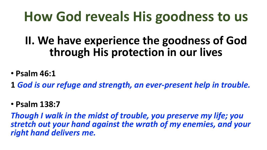### **II. We have experience the goodness of God through His protection in our lives**

• **Psalm 46:1**

**1** *God is our refuge and strength, an ever-present help in trouble.*

• **Psalm 138:7**

*Though I walk in the midst of trouble, you preserve my life; you stretch out your hand against the wrath of my enemies, and your right hand delivers me.*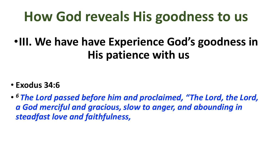•**III. We have have Experience God's goodness in His patience with us** 

- **Exodus 34:6**
- *<sup>6</sup> The Lord passed before him and proclaimed, "The Lord, the Lord, a God merciful and gracious, slow to anger, and abounding in steadfast love and faithfulness,*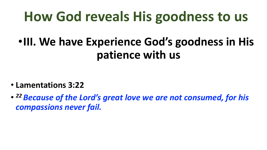•**III. We have Experience God's goodness in His patience with us** 

- **Lamentations 3:22**
- *<sup>22</sup> Because of the Lord's great love we are not consumed, for his compassions never fail.*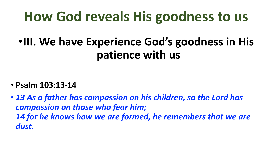•**III. We have Experience God's goodness in His patience with us** 

- **Psalm 103:13-14**
- *13 As a father has compassion on his children, so the Lord has compassion on those who fear him; 14 for he knows how we are formed, he remembers that we are dust.*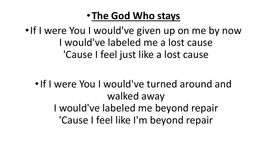### •**The God Who stays**

•If I were You I would've given up on me by now I would've labeled me a lost cause 'Cause I feel just like a lost cause

•If I were You I would've turned around and walked away I would've labeled me beyond repair 'Cause I feel like I'm beyond repair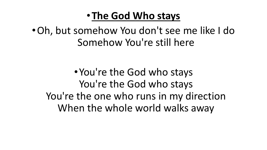#### •**The God Who stays**

•Oh, but somehow You don't see me like I do Somehow You're still here

• You're the God who stays You're the God who stays You're the one who runs in my direction When the whole world walks away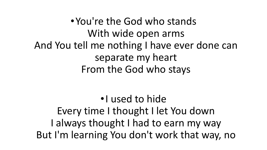•You're the God who stands With wide open arms And You tell me nothing I have ever done can separate my heart From the God who stays

•I used to hide Every time I thought I let You down I always thought I had to earn my way But I'm learning You don't work that way, no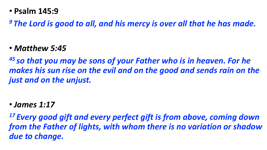#### • **Psalm 145:9**

*<sup>9</sup> The Lord is good to all, and his mercy is over all that he has made.* 

#### • *Matthew 5:45*

*<sup>45</sup> so that you may be sons of your Father who is in heaven. For he makes his sun rise on the evil and on the good and sends rain on the just and on the unjust.*

#### • *James 1:17*

*<sup>17</sup> Every good gift and every perfect gift is from above, coming down from the Father of lights, with whom there is no variation or shadow due to change.*